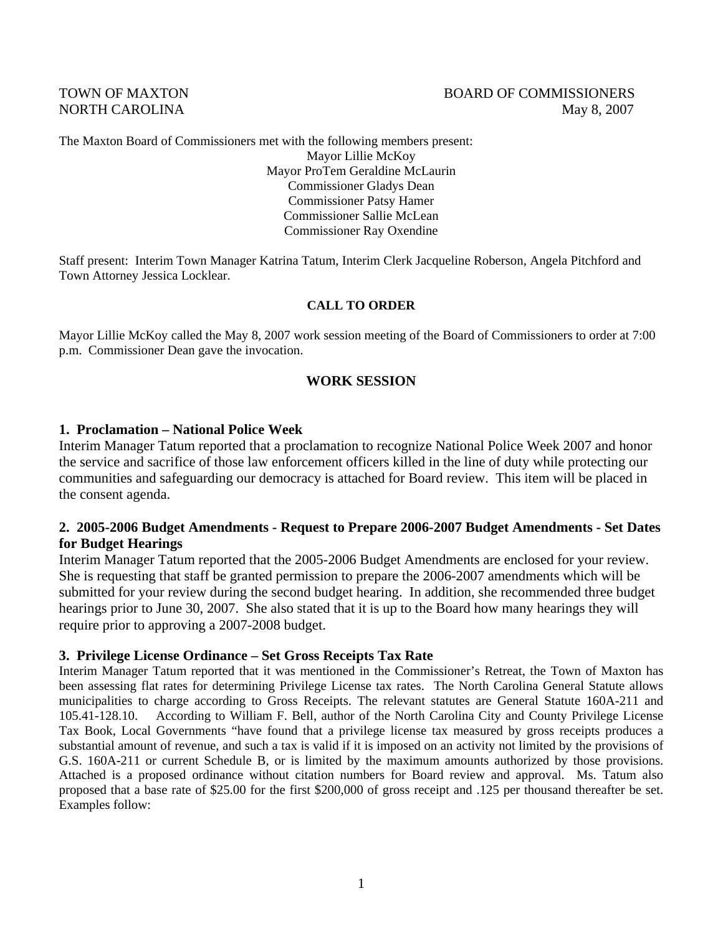#### TOWN OF MAXTON GERMANY COMMISSIONERS NORTH CAROLINA May 8, 2007

The Maxton Board of Commissioners met with the following members present:

Mayor Lillie McKoy Mayor ProTem Geraldine McLaurin Commissioner Gladys Dean Commissioner Patsy Hamer Commissioner Sallie McLean Commissioner Ray Oxendine

Staff present: Interim Town Manager Katrina Tatum, Interim Clerk Jacqueline Roberson, Angela Pitchford and Town Attorney Jessica Locklear.

#### **CALL TO ORDER**

Mayor Lillie McKoy called the May 8, 2007 work session meeting of the Board of Commissioners to order at 7:00 p.m. Commissioner Dean gave the invocation.

#### **WORK SESSION**

#### **1. Proclamation – National Police Week**

Interim Manager Tatum reported that a proclamation to recognize National Police Week 2007 and honor the service and sacrifice of those law enforcement officers killed in the line of duty while protecting our communities and safeguarding our democracy is attached for Board review. This item will be placed in the consent agenda.

#### **2. 2005-2006 Budget Amendments - Request to Prepare 2006-2007 Budget Amendments - Set Dates for Budget Hearings**

Interim Manager Tatum reported that the 2005-2006 Budget Amendments are enclosed for your review. She is requesting that staff be granted permission to prepare the 2006-2007 amendments which will be submitted for your review during the second budget hearing. In addition, she recommended three budget hearings prior to June 30, 2007. She also stated that it is up to the Board how many hearings they will require prior to approving a 2007-2008 budget.

#### **3. Privilege License Ordinance – Set Gross Receipts Tax Rate**

Interim Manager Tatum reported that it was mentioned in the Commissioner's Retreat, the Town of Maxton has been assessing flat rates for determining Privilege License tax rates. The North Carolina General Statute allows municipalities to charge according to Gross Receipts. The relevant statutes are General Statute 160A-211 and 105.41-128.10. According to William F. Bell, author of the North Carolina City and County Privilege License Tax Book, Local Governments "have found that a privilege license tax measured by gross receipts produces a substantial amount of revenue, and such a tax is valid if it is imposed on an activity not limited by the provisions of G.S. 160A-211 or current Schedule B, or is limited by the maximum amounts authorized by those provisions. Attached is a proposed ordinance without citation numbers for Board review and approval. Ms. Tatum also proposed that a base rate of \$25.00 for the first \$200,000 of gross receipt and .125 per thousand thereafter be set. Examples follow: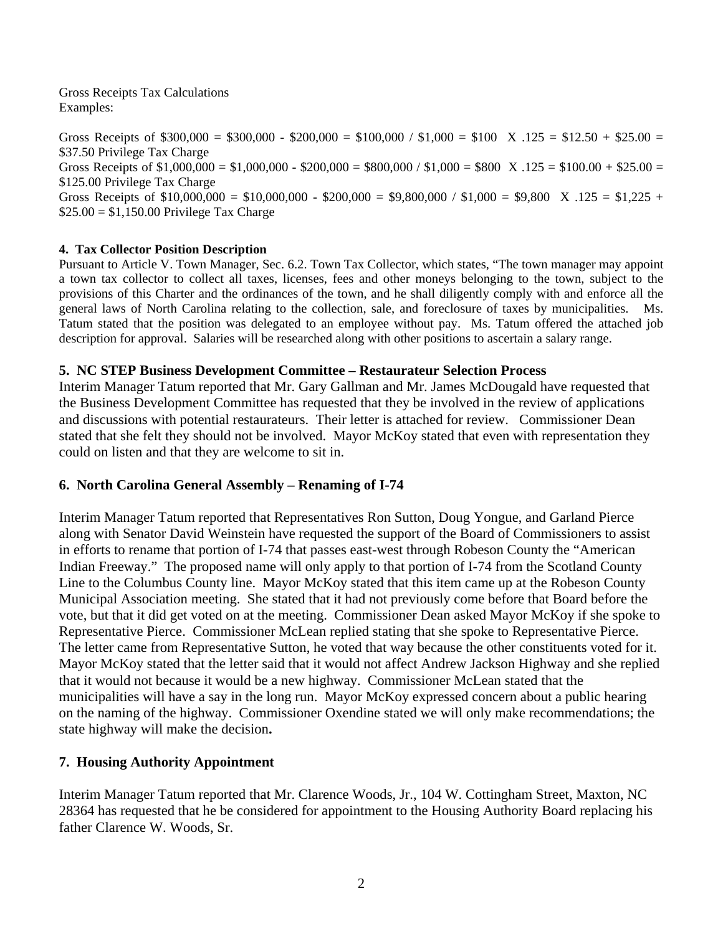Gross Receipts Tax Calculations Examples:

Gross Receipts of  $$300,000 = $300,000 - $200,000 = $100,000 / $1,000 = $100$  X  $.125 = $12.50 + $25.00 =$ \$37.50 Privilege Tax Charge Gross Receipts of  $$1,000,000 = $1,000,000 - $200,000 = $800,000 / $1,000 = $800$  X  $.125 = $100.00 + $25.00 =$ \$125.00 Privilege Tax Charge Gross Receipts of  $$10,000,000 = $10,000,000 - $200,000 = $9,800,000 / $1,000 = $9,800$  X .125 =  $$1,225 +$  $$25.00 = $1,150.00$  Privilege Tax Charge

#### **4. Tax Collector Position Description**

Pursuant to Article V. Town Manager, Sec. 6.2. Town Tax Collector, which states, "The town manager may appoint a town tax collector to collect all taxes, licenses, fees and other moneys belonging to the town, subject to the provisions of this Charter and the ordinances of the town, and he shall diligently comply with and enforce all the general laws of North Carolina relating to the collection, sale, and foreclosure of taxes by municipalities. Ms. Tatum stated that the position was delegated to an employee without pay. Ms. Tatum offered the attached job description for approval. Salaries will be researched along with other positions to ascertain a salary range.

#### **5. NC STEP Business Development Committee – Restaurateur Selection Process**

Interim Manager Tatum reported that Mr. Gary Gallman and Mr. James McDougald have requested that the Business Development Committee has requested that they be involved in the review of applications and discussions with potential restaurateurs. Their letter is attached for review. Commissioner Dean stated that she felt they should not be involved. Mayor McKoy stated that even with representation they could on listen and that they are welcome to sit in.

#### **6. North Carolina General Assembly – Renaming of I-74**

Interim Manager Tatum reported that Representatives Ron Sutton, Doug Yongue, and Garland Pierce along with Senator David Weinstein have requested the support of the Board of Commissioners to assist in efforts to rename that portion of I-74 that passes east-west through Robeson County the "American Indian Freeway." The proposed name will only apply to that portion of I-74 from the Scotland County Line to the Columbus County line. Mayor McKoy stated that this item came up at the Robeson County Municipal Association meeting. She stated that it had not previously come before that Board before the vote, but that it did get voted on at the meeting. Commissioner Dean asked Mayor McKoy if she spoke to Representative Pierce. Commissioner McLean replied stating that she spoke to Representative Pierce. The letter came from Representative Sutton, he voted that way because the other constituents voted for it. Mayor McKoy stated that the letter said that it would not affect Andrew Jackson Highway and she replied that it would not because it would be a new highway. Commissioner McLean stated that the municipalities will have a say in the long run. Mayor McKoy expressed concern about a public hearing on the naming of the highway. Commissioner Oxendine stated we will only make recommendations; the state highway will make the decision**.** 

# **7. Housing Authority Appointment**

Interim Manager Tatum reported that Mr. Clarence Woods, Jr., 104 W. Cottingham Street, Maxton, NC 28364 has requested that he be considered for appointment to the Housing Authority Board replacing his father Clarence W. Woods, Sr.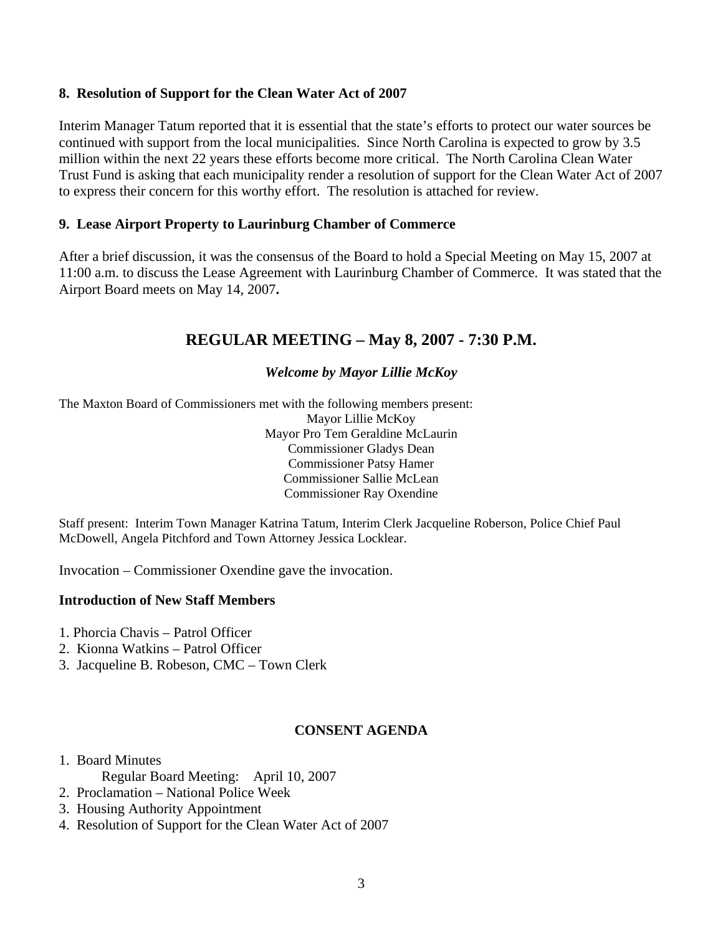## **8. Resolution of Support for the Clean Water Act of 2007**

Interim Manager Tatum reported that it is essential that the state's efforts to protect our water sources be continued with support from the local municipalities. Since North Carolina is expected to grow by 3.5 million within the next 22 years these efforts become more critical. The North Carolina Clean Water Trust Fund is asking that each municipality render a resolution of support for the Clean Water Act of 2007 to express their concern for this worthy effort. The resolution is attached for review.

## **9. Lease Airport Property to Laurinburg Chamber of Commerce**

After a brief discussion, it was the consensus of the Board to hold a Special Meeting on May 15, 2007 at 11:00 a.m. to discuss the Lease Agreement with Laurinburg Chamber of Commerce. It was stated that the Airport Board meets on May 14, 2007**.** 

# **REGULAR MEETING – May 8, 2007 - 7:30 P.M.**

#### *Welcome by Mayor Lillie McKoy*

The Maxton Board of Commissioners met with the following members present: Mayor Lillie McKoy Mayor Pro Tem Geraldine McLaurin Commissioner Gladys Dean Commissioner Patsy Hamer Commissioner Sallie McLean Commissioner Ray Oxendine

Staff present: Interim Town Manager Katrina Tatum, Interim Clerk Jacqueline Roberson, Police Chief Paul McDowell, Angela Pitchford and Town Attorney Jessica Locklear.

Invocation – Commissioner Oxendine gave the invocation.

#### **Introduction of New Staff Members**

- 1. Phorcia Chavis Patrol Officer
- 2. Kionna Watkins Patrol Officer
- 3. Jacqueline B. Robeson, CMC Town Clerk

#### **CONSENT AGENDA**

#### 1. Board Minutes

- Regular Board Meeting: April 10, 2007
- 2. Proclamation National Police Week
- 3. Housing Authority Appointment
- 4. Resolution of Support for the Clean Water Act of 2007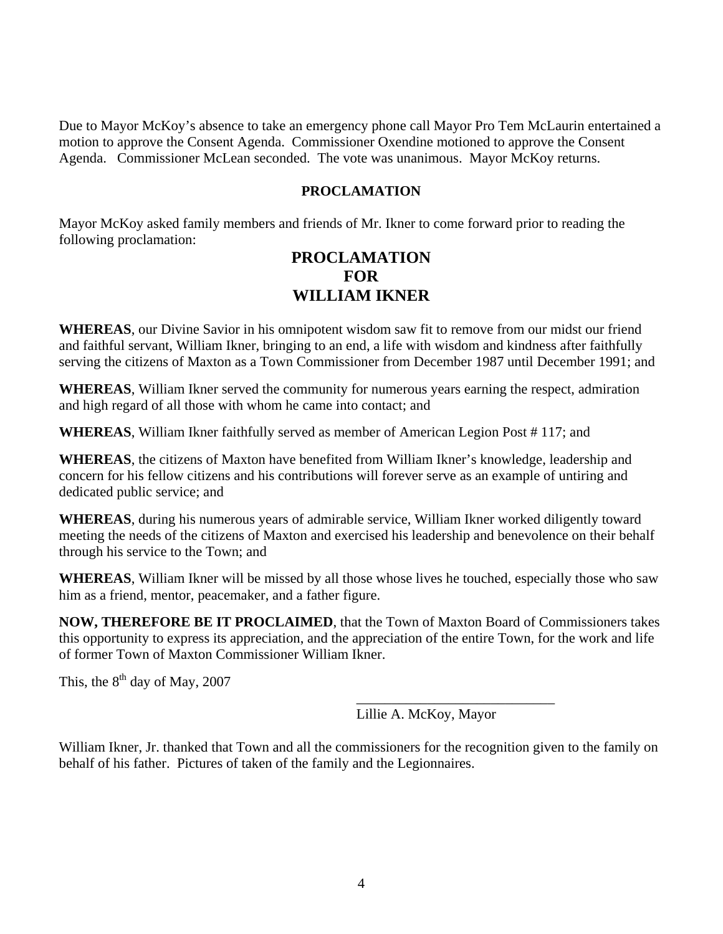Due to Mayor McKoy's absence to take an emergency phone call Mayor Pro Tem McLaurin entertained a motion to approve the Consent Agenda. Commissioner Oxendine motioned to approve the Consent Agenda. Commissioner McLean seconded. The vote was unanimous. Mayor McKoy returns.

#### **PROCLAMATION**

Mayor McKoy asked family members and friends of Mr. Ikner to come forward prior to reading the following proclamation:

# **PROCLAMATION FOR WILLIAM IKNER**

**WHEREAS**, our Divine Savior in his omnipotent wisdom saw fit to remove from our midst our friend and faithful servant, William Ikner, bringing to an end, a life with wisdom and kindness after faithfully serving the citizens of Maxton as a Town Commissioner from December 1987 until December 1991; and

**WHEREAS**, William Ikner served the community for numerous years earning the respect, admiration and high regard of all those with whom he came into contact; and

**WHEREAS**, William Ikner faithfully served as member of American Legion Post # 117; and

**WHEREAS**, the citizens of Maxton have benefited from William Ikner's knowledge, leadership and concern for his fellow citizens and his contributions will forever serve as an example of untiring and dedicated public service; and

**WHEREAS**, during his numerous years of admirable service, William Ikner worked diligently toward meeting the needs of the citizens of Maxton and exercised his leadership and benevolence on their behalf through his service to the Town; and

**WHEREAS**, William Ikner will be missed by all those whose lives he touched, especially those who saw him as a friend, mentor, peacemaker, and a father figure.

**NOW, THEREFORE BE IT PROCLAIMED**, that the Town of Maxton Board of Commissioners takes this opportunity to express its appreciation, and the appreciation of the entire Town, for the work and life of former Town of Maxton Commissioner William Ikner.

This, the  $8^{th}$  day of May, 2007

Lillie A. McKoy, Mayor

William Ikner, Jr. thanked that Town and all the commissioners for the recognition given to the family on behalf of his father. Pictures of taken of the family and the Legionnaires.

 $\overline{\phantom{a}}$  , which is a set of the set of the set of the set of the set of the set of the set of the set of the set of the set of the set of the set of the set of the set of the set of the set of the set of the set of th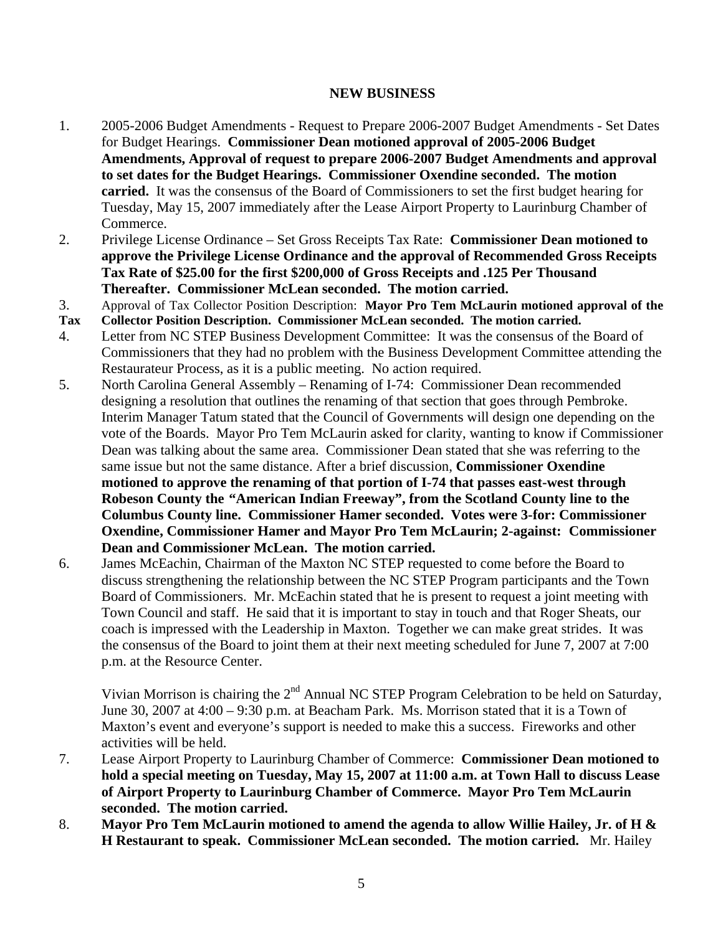#### **NEW BUSINESS**

- 1. 2005-2006 Budget Amendments Request to Prepare 2006-2007 Budget Amendments Set Dates for Budget Hearings. **Commissioner Dean motioned approval of 2005-2006 Budget Amendments, Approval of request to prepare 2006-2007 Budget Amendments and approval to set dates for the Budget Hearings. Commissioner Oxendine seconded. The motion carried.** It was the consensus of the Board of Commissioners to set the first budget hearing for Tuesday, May 15, 2007 immediately after the Lease Airport Property to Laurinburg Chamber of Commerce.
- 2. Privilege License Ordinance Set Gross Receipts Tax Rate: **Commissioner Dean motioned to approve the Privilege License Ordinance and the approval of Recommended Gross Receipts Tax Rate of \$25.00 for the first \$200,000 of Gross Receipts and .125 Per Thousand Thereafter. Commissioner McLean seconded. The motion carried.**
- 3. Approval of Tax Collector Position Description: **Mayor Pro Tem McLaurin motioned approval of the**
- **Tax Collector Position Description. Commissioner McLean seconded. The motion carried.**
- 4. Letter from NC STEP Business Development Committee: It was the consensus of the Board of Commissioners that they had no problem with the Business Development Committee attending the Restaurateur Process, as it is a public meeting. No action required.
- 5. North Carolina General Assembly Renaming of I-74: Commissioner Dean recommended designing a resolution that outlines the renaming of that section that goes through Pembroke. Interim Manager Tatum stated that the Council of Governments will design one depending on the vote of the Boards. Mayor Pro Tem McLaurin asked for clarity, wanting to know if Commissioner Dean was talking about the same area. Commissioner Dean stated that she was referring to the same issue but not the same distance. After a brief discussion, **Commissioner Oxendine motioned to approve the renaming of that portion of I-74 that passes east-west through Robeson County the "American Indian Freeway", from the Scotland County line to the Columbus County line. Commissioner Hamer seconded. Votes were 3-for: Commissioner Oxendine, Commissioner Hamer and Mayor Pro Tem McLaurin; 2-against: Commissioner Dean and Commissioner McLean. The motion carried.**
- 6. James McEachin, Chairman of the Maxton NC STEP requested to come before the Board to discuss strengthening the relationship between the NC STEP Program participants and the Town Board of Commissioners. Mr. McEachin stated that he is present to request a joint meeting with Town Council and staff. He said that it is important to stay in touch and that Roger Sheats, our coach is impressed with the Leadership in Maxton. Together we can make great strides. It was the consensus of the Board to joint them at their next meeting scheduled for June 7, 2007 at 7:00 p.m. at the Resource Center.

Vivian Morrison is chairing the  $2<sup>nd</sup>$  Annual NC STEP Program Celebration to be held on Saturday, June 30, 2007 at 4:00 – 9:30 p.m. at Beacham Park. Ms. Morrison stated that it is a Town of Maxton's event and everyone's support is needed to make this a success. Fireworks and other activities will be held.

- 7. Lease Airport Property to Laurinburg Chamber of Commerce: **Commissioner Dean motioned to hold a special meeting on Tuesday, May 15, 2007 at 11:00 a.m. at Town Hall to discuss Lease of Airport Property to Laurinburg Chamber of Commerce. Mayor Pro Tem McLaurin seconded. The motion carried.**
- 8. **Mayor Pro Tem McLaurin motioned to amend the agenda to allow Willie Hailey, Jr. of H & H Restaurant to speak. Commissioner McLean seconded. The motion carried.** Mr. Hailey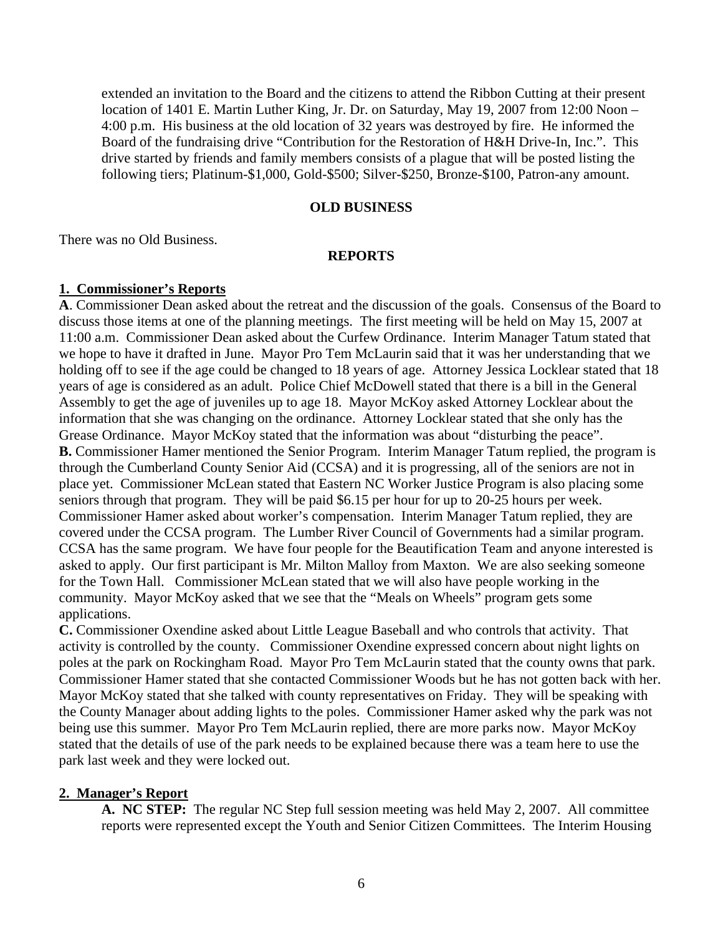extended an invitation to the Board and the citizens to attend the Ribbon Cutting at their present location of 1401 E. Martin Luther King, Jr. Dr. on Saturday, May 19, 2007 from 12:00 Noon – 4:00 p.m. His business at the old location of 32 years was destroyed by fire. He informed the Board of the fundraising drive "Contribution for the Restoration of H&H Drive-In, Inc.". This drive started by friends and family members consists of a plague that will be posted listing the following tiers; Platinum-\$1,000, Gold-\$500; Silver-\$250, Bronze-\$100, Patron-any amount.

#### **OLD BUSINESS**

There was no Old Business.

#### **REPORTS**

#### **1. Commissioner's Reports**

**A**. Commissioner Dean asked about the retreat and the discussion of the goals. Consensus of the Board to discuss those items at one of the planning meetings. The first meeting will be held on May 15, 2007 at 11:00 a.m. Commissioner Dean asked about the Curfew Ordinance. Interim Manager Tatum stated that we hope to have it drafted in June. Mayor Pro Tem McLaurin said that it was her understanding that we holding off to see if the age could be changed to 18 years of age. Attorney Jessica Locklear stated that 18 years of age is considered as an adult. Police Chief McDowell stated that there is a bill in the General Assembly to get the age of juveniles up to age 18. Mayor McKoy asked Attorney Locklear about the information that she was changing on the ordinance. Attorney Locklear stated that she only has the Grease Ordinance. Mayor McKoy stated that the information was about "disturbing the peace". **B.** Commissioner Hamer mentioned the Senior Program. Interim Manager Tatum replied, the program is through the Cumberland County Senior Aid (CCSA) and it is progressing, all of the seniors are not in place yet. Commissioner McLean stated that Eastern NC Worker Justice Program is also placing some seniors through that program. They will be paid \$6.15 per hour for up to 20-25 hours per week. Commissioner Hamer asked about worker's compensation. Interim Manager Tatum replied, they are covered under the CCSA program. The Lumber River Council of Governments had a similar program. CCSA has the same program. We have four people for the Beautification Team and anyone interested is asked to apply. Our first participant is Mr. Milton Malloy from Maxton. We are also seeking someone for the Town Hall. Commissioner McLean stated that we will also have people working in the community. Mayor McKoy asked that we see that the "Meals on Wheels" program gets some applications.

**C.** Commissioner Oxendine asked about Little League Baseball and who controls that activity. That activity is controlled by the county. Commissioner Oxendine expressed concern about night lights on poles at the park on Rockingham Road. Mayor Pro Tem McLaurin stated that the county owns that park. Commissioner Hamer stated that she contacted Commissioner Woods but he has not gotten back with her. Mayor McKoy stated that she talked with county representatives on Friday. They will be speaking with the County Manager about adding lights to the poles. Commissioner Hamer asked why the park was not being use this summer. Mayor Pro Tem McLaurin replied, there are more parks now. Mayor McKoy stated that the details of use of the park needs to be explained because there was a team here to use the park last week and they were locked out.

## **2. Manager's Report**

**A. NC STEP:** The regular NC Step full session meeting was held May 2, 2007. All committee reports were represented except the Youth and Senior Citizen Committees. The Interim Housing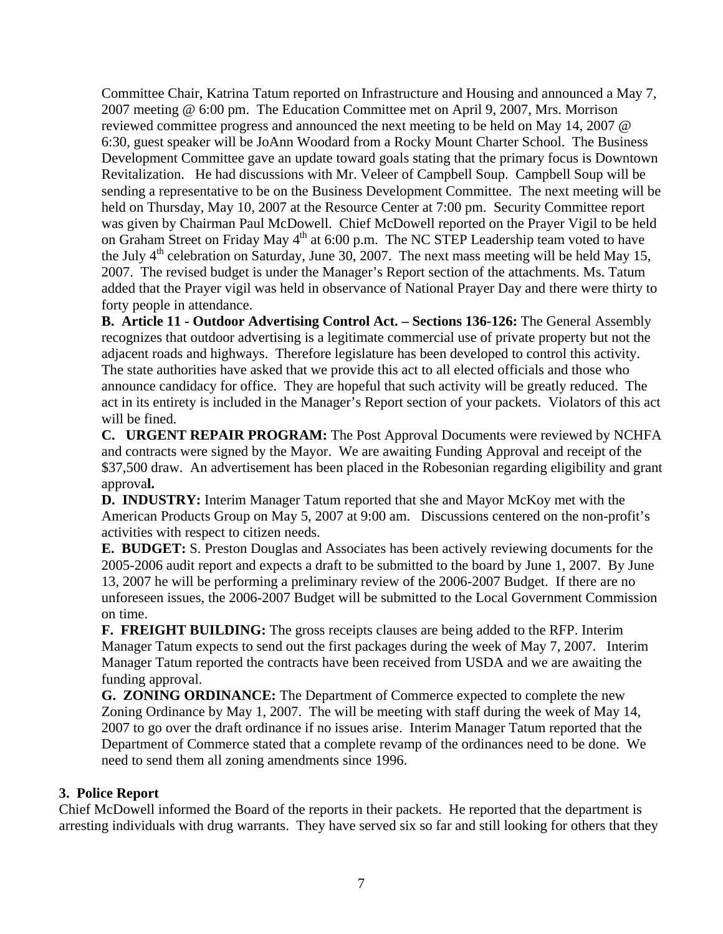Committee Chair, Katrina Tatum reported on Infrastructure and Housing and announced a May 7, 2007 meeting @ 6:00 pm. The Education Committee met on April 9, 2007, Mrs. Morrison reviewed committee progress and announced the next meeting to be held on May 14, 2007 @ 6:30, guest speaker will be JoAnn Woodard from a Rocky Mount Charter School. The Business Development Committee gave an update toward goals stating that the primary focus is Downtown Revitalization. He had discussions with Mr. Veleer of Campbell Soup. Campbell Soup will be sending a representative to be on the Business Development Committee. The next meeting will be held on Thursday, May 10, 2007 at the Resource Center at 7:00 pm. Security Committee report was given by Chairman Paul McDowell. Chief McDowell reported on the Prayer Vigil to be held on Graham Street on Friday May 4<sup>th</sup> at 6:00 p.m. The NC STEP Leadership team voted to have the July  $4<sup>th</sup>$  celebration on Saturday, June 30, 2007. The next mass meeting will be held May 15, 2007. The revised budget is under the Manager's Report section of the attachments. Ms. Tatum added that the Prayer vigil was held in observance of National Prayer Day and there were thirty to forty people in attendance.

**B. Article 11 - Outdoor Advertising Control Act. – Sections 136-126:** The General Assembly recognizes that outdoor advertising is a legitimate commercial use of private property but not the adjacent roads and highways. Therefore legislature has been developed to control this activity. The state authorities have asked that we provide this act to all elected officials and those who announce candidacy for office. They are hopeful that such activity will be greatly reduced. The act in its entirety is included in the Manager's Report section of your packets. Violators of this act will be fined.

**C. URGENT REPAIR PROGRAM:** The Post Approval Documents were reviewed by NCHFA and contracts were signed by the Mayor. We are awaiting Funding Approval and receipt of the \$37,500 draw. An advertisement has been placed in the Robesonian regarding eligibility and grant approva**l.** 

**D. INDUSTRY:** Interim Manager Tatum reported that she and Mayor McKoy met with the American Products Group on May 5, 2007 at 9:00 am. Discussions centered on the non-profit's activities with respect to citizen needs.

**E. BUDGET:** S. Preston Douglas and Associates has been actively reviewing documents for the 2005-2006 audit report and expects a draft to be submitted to the board by June 1, 2007. By June 13, 2007 he will be performing a preliminary review of the 2006-2007 Budget. If there are no unforeseen issues, the 2006-2007 Budget will be submitted to the Local Government Commission on time.

 **F. FREIGHT BUILDING:** The gross receipts clauses are being added to the RFP. Interim Manager Tatum expects to send out the first packages during the week of May 7, 2007. Interim Manager Tatum reported the contracts have been received from USDA and we are awaiting the funding approval.

**G. ZONING ORDINANCE:** The Department of Commerce expected to complete the new Zoning Ordinance by May 1, 2007. The will be meeting with staff during the week of May 14, 2007 to go over the draft ordinance if no issues arise. Interim Manager Tatum reported that the Department of Commerce stated that a complete revamp of the ordinances need to be done. We need to send them all zoning amendments since 1996.

# **3. Police Report**

Chief McDowell informed the Board of the reports in their packets. He reported that the department is arresting individuals with drug warrants. They have served six so far and still looking for others that they